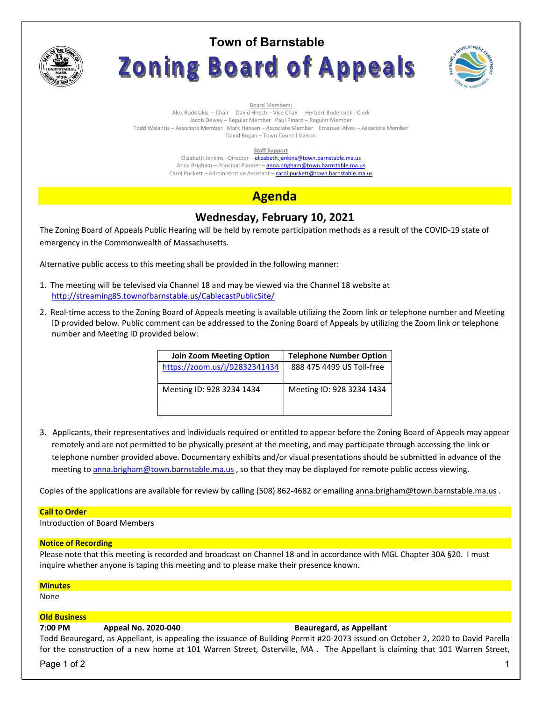

# **Town of Barnstable Zoning Board of Appeals**



Board Members: Alex Rodolakis – Chair David Hirsch – Vice Chair Herbert Bodensiek - Clerk Jacob Dewey – Regular Member Paul Pinard – Regular Member Todd Walantis – Associate Member Mark Hansen – Associate Member Emanuel Alves – Associate Member David Bogan – Town Council Liaison

### **Staff Support**

Elizabeth Jenkins -Director - elizabeth.jenkins@town.barnstable.ma.us Anna Brigham - Principal Planner - anna.brigham@town.barnstable.ma.us Carol Puckett – Administrative Assistant – carol.puckett@town.barnstable.ma.us

# **Agenda**

## **Wednesday, February 10, 2021**

The Zoning Board of Appeals Public Hearing will be held by remote participation methods as a result of the COVID-19 state of emergency in the Commonwealth of Massachusetts.

Alternative public access to this meeting shall be provided in the following manner:

- 1. The meeting will be televised via Channel 18 and may be viewed via the Channel 18 website at http://streaming85.townofbarnstable.us/CablecastPublicSite/
- 2. Real-time access to the Zoning Board of Appeals meeting is available utilizing the Zoom link or telephone number and Meeting ID provided below. Public comment can be addressed to the Zoning Board of Appeals by utilizing the Zoom link or telephone number and Meeting ID provided below:

| <b>Join Zoom Meeting Option</b> | <b>Telephone Number Option</b> |
|---------------------------------|--------------------------------|
| https://zoom.us/j/92832341434   | 888 475 4499 US Toll-free      |
|                                 |                                |
| Meeting ID: 928 3234 1434       | Meeting ID: 928 3234 1434      |
|                                 |                                |
|                                 |                                |

3. Applicants, their representatives and individuals required or entitled to appear before the Zoning Board of Appeals may appear remotely and are not permitted to be physically present at the meeting, and may participate through accessing the link or telephone number provided above. Documentary exhibits and/or visual presentations should be submitted in advance of the meeting to anna.brigham@town.barnstable.ma.us, so that they may be displayed for remote public access viewing.

Copies of the applications are available for review by calling (508) 862-4682 or emailing anna.brigham@town.barnstable.ma.us .

### **Call to Order**

Introduction of Board Members

### **Notice of Recording**

Please note that this meeting is recorded and broadcast on Channel 18 and in accordance with MGL Chapter 30A §20. I must inquire whether anyone is taping this meeting and to please make their presence known.

### **Minutes**

None

### **Old Business**

### **7:00 PM Appeal No. 2020-040 Beauregard, as Appellant**

Todd Beauregard, as Appellant, is appealing the issuance of Building Permit #20-2073 issued on October 2, 2020 to David Parella for the construction of a new home at 101 Warren Street, Osterville, MA . The Appellant is claiming that 101 Warren Street,